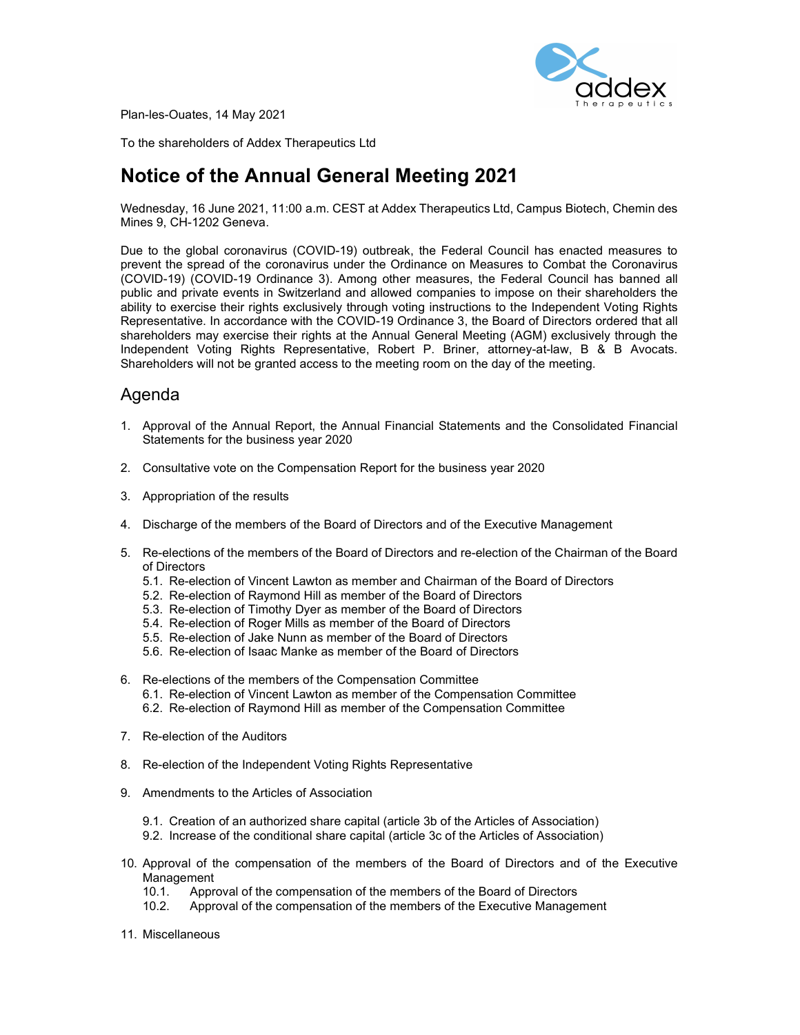

Plan-les-Ouates, 14 May 2021

To the shareholders of Addex Therapeutics Ltd

# Notice of the Annual General Meeting 2021

Wednesday, 16 June 2021, 11:00 a.m. CEST at Addex Therapeutics Ltd, Campus Biotech, Chemin des Mines 9, CH-1202 Geneva.

Due to the global coronavirus (COVID-19) outbreak, the Federal Council has enacted measures to prevent the spread of the coronavirus under the Ordinance on Measures to Combat the Coronavirus (COVID-19) (COVID-19 Ordinance 3). Among other measures, the Federal Council has banned all public and private events in Switzerland and allowed companies to impose on their shareholders the ability to exercise their rights exclusively through voting instructions to the Independent Voting Rights Representative. In accordance with the COVID-19 Ordinance 3, the Board of Directors ordered that all shareholders may exercise their rights at the Annual General Meeting (AGM) exclusively through the Independent Voting Rights Representative, Robert P. Briner, attorney-at-law, B & B Avocats. Shareholders will not be granted access to the meeting room on the day of the meeting.

## Agenda

- 1. Approval of the Annual Report, the Annual Financial Statements and the Consolidated Financial Statements for the business year 2020
- 2. Consultative vote on the Compensation Report for the business year 2020
- 3. Appropriation of the results
- 4. Discharge of the members of the Board of Directors and of the Executive Management
- 5. Re-elections of the members of the Board of Directors and re-election of the Chairman of the Board of Directors
	- 5.1. Re-election of Vincent Lawton as member and Chairman of the Board of Directors
	- 5.2. Re-election of Raymond Hill as member of the Board of Directors
	- 5.3. Re-election of Timothy Dyer as member of the Board of Directors
	- 5.4. Re-election of Roger Mills as member of the Board of Directors
	- 5.5. Re-election of Jake Nunn as member of the Board of Directors
	- 5.6. Re-election of Isaac Manke as member of the Board of Directors
- 6. Re-elections of the members of the Compensation Committee
	- 6.1. Re-election of Vincent Lawton as member of the Compensation Committee
	- 6.2. Re-election of Raymond Hill as member of the Compensation Committee
- 7. Re-election of the Auditors
- 8. Re-election of the Independent Voting Rights Representative
- 9. Amendments to the Articles of Association
	- 9.1. Creation of an authorized share capital (article 3b of the Articles of Association)
	- 9.2. Increase of the conditional share capital (article 3c of the Articles of Association)
- 10. Approval of the compensation of the members of the Board of Directors and of the Executive Management
	- 10.1. Approval of the compensation of the members of the Board of Directors
	- 10.2. Approval of the compensation of the members of the Executive Management
- 11. Miscellaneous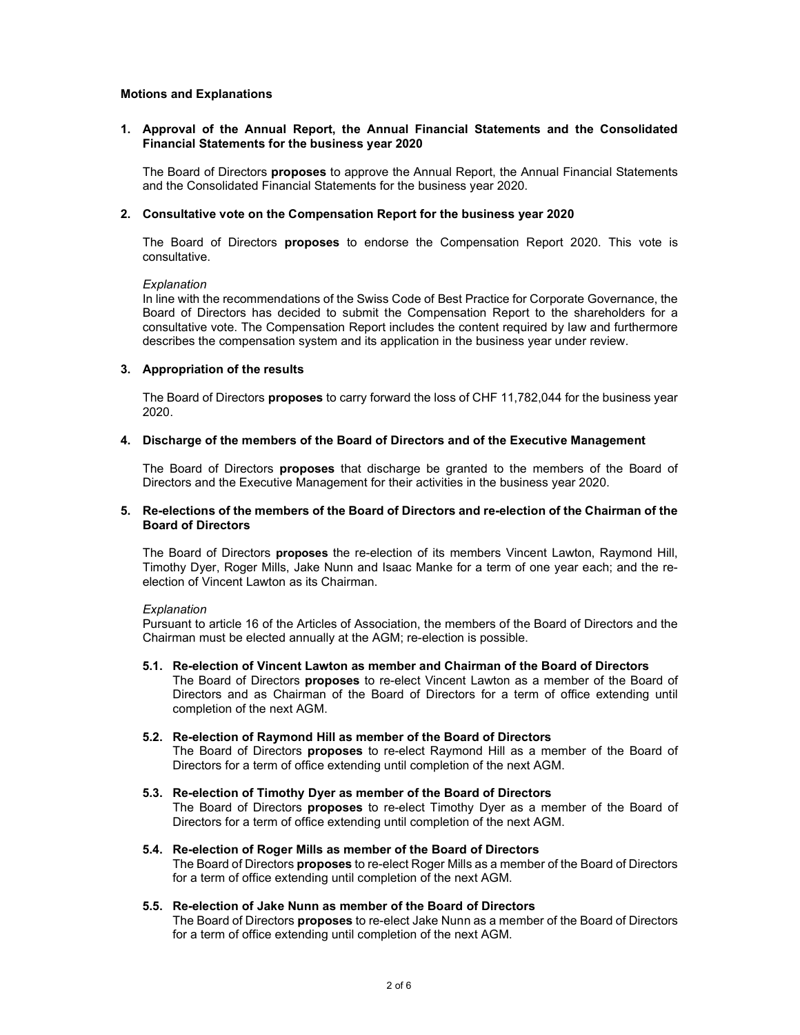## Motions and Explanations

## 1. Approval of the Annual Report, the Annual Financial Statements and the Consolidated Financial Statements for the business year 2020

The Board of Directors **proposes** to approve the Annual Report, the Annual Financial Statements and the Consolidated Financial Statements for the business year 2020.

## 2. Consultative vote on the Compensation Report for the business year 2020

The Board of Directors **proposes** to endorse the Compensation Report 2020. This vote is consultative.

## **Explanation**

In line with the recommendations of the Swiss Code of Best Practice for Corporate Governance, the Board of Directors has decided to submit the Compensation Report to the shareholders for a consultative vote. The Compensation Report includes the content required by law and furthermore describes the compensation system and its application in the business year under review.

## 3. Appropriation of the results

The Board of Directors **proposes** to carry forward the loss of CHF 11,782,044 for the business year 2020.

## 4. Discharge of the members of the Board of Directors and of the Executive Management

The Board of Directors **proposes** that discharge be granted to the members of the Board of Directors and the Executive Management for their activities in the business year 2020.

## 5. Re-elections of the members of the Board of Directors and re-election of the Chairman of the Board of Directors

The Board of Directors proposes the re-election of its members Vincent Lawton, Raymond Hill, Timothy Dyer, Roger Mills, Jake Nunn and Isaac Manke for a term of one year each; and the reelection of Vincent Lawton as its Chairman.

## **Explanation**

Pursuant to article 16 of the Articles of Association, the members of the Board of Directors and the Chairman must be elected annually at the AGM; re-election is possible.

5.1. Re-election of Vincent Lawton as member and Chairman of the Board of Directors The Board of Directors **proposes** to re-elect Vincent Lawton as a member of the Board of Directors and as Chairman of the Board of Directors for a term of office extending until completion of the next AGM.

## 5.2. Re-election of Raymond Hill as member of the Board of Directors

The Board of Directors **proposes** to re-elect Raymond Hill as a member of the Board of Directors for a term of office extending until completion of the next AGM.

- 5.3. Re-election of Timothy Dyer as member of the Board of Directors The Board of Directors **proposes** to re-elect Timothy Dyer as a member of the Board of Directors for a term of office extending until completion of the next AGM.
- 5.4. Re-election of Roger Mills as member of the Board of Directors The Board of Directors **proposes** to re-elect Roger Mills as a member of the Board of Directors for a term of office extending until completion of the next AGM.
- 5.5. Re-election of Jake Nunn as member of the Board of Directors The Board of Directors **proposes** to re-elect Jake Nunn as a member of the Board of Directors for a term of office extending until completion of the next AGM.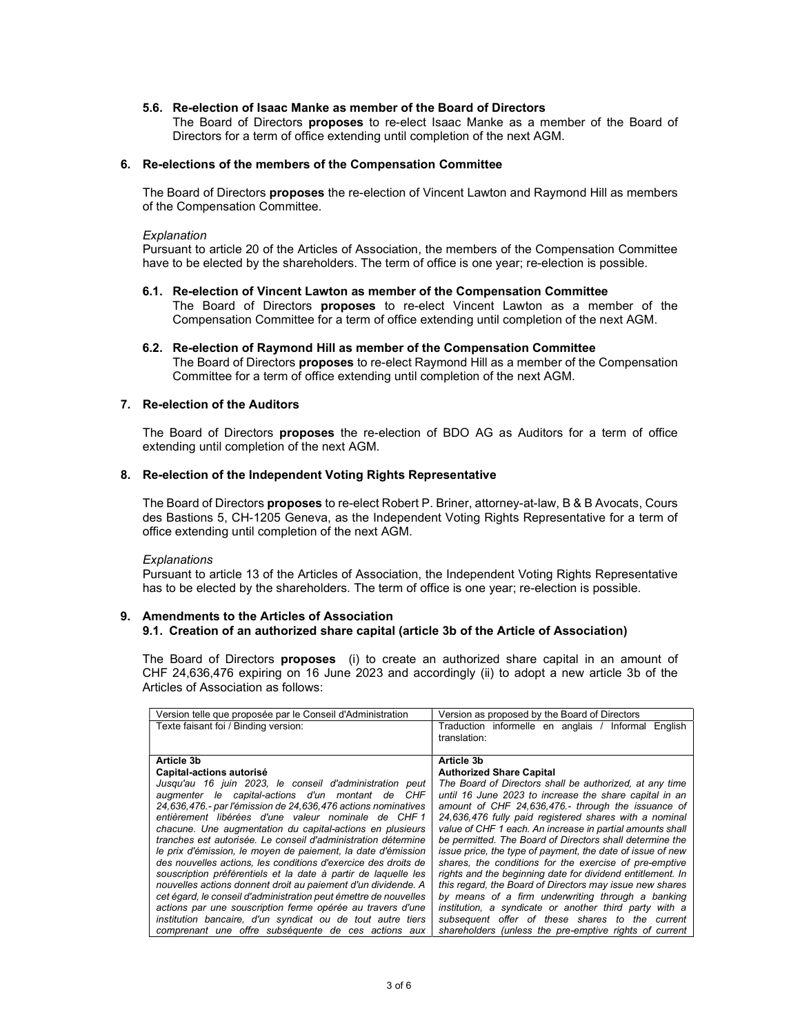## 5.6. Re-election of Isaac Manke as member of the Board of Directors

The Board of Directors proposes to re-elect Isaac Manke as a member of the Board of Directors for a term of office extending until completion of the next AGM.

### 6. Re-elections of the members of the Compensation Committee

The Board of Directors proposes the re-election of Vincent Lawton and Raymond Hill as members of the Compensation Committee.

#### **Explanation**

Pursuant to article 20 of the Articles of Association, the members of the Compensation Committee have to be elected by the shareholders. The term of office is one year; re-election is possible.

- 6.1. Re-election of Vincent Lawton as member of the Compensation Committee The Board of Directors **proposes** to re-elect Vincent Lawton as a member of the Compensation Committee for a term of office extending until completion of the next AGM.
- 6.2. Re-election of Raymond Hill as member of the Compensation Committee The Board of Directors **proposes** to re-elect Raymond Hill as a member of the Compensation Committee for a term of office extending until completion of the next AGM.

## 7. Re-election of the Auditors

The Board of Directors **proposes** the re-election of BDO AG as Auditors for a term of office extending until completion of the next AGM.

#### 8. Re-election of the Independent Voting Rights Representative

The Board of Directors proposes to re-elect Robert P. Briner, attorney-at-law, B & B Avocats, Cours des Bastions 5, CH-1205 Geneva, as the Independent Voting Rights Representative for a term of office extending until completion of the next AGM.

#### **Explanations**

Pursuant to article 13 of the Articles of Association, the Independent Voting Rights Representative has to be elected by the shareholders. The term of office is one year; re-election is possible.

## 9. Amendments to the Articles of Association 9.1. Creation of an authorized share capital (article 3b of the Article of Association)

The Board of Directors **proposes** (i) to create an authorized share capital in an amount of CHF 24,636,476 expiring on 16 June 2023 and accordingly (ii) to adopt a new article 3b of the Articles of Association as follows:

| Version telle que proposée par le Conseil d'Administration       | Version as proposed by the Board of Directors                       |
|------------------------------------------------------------------|---------------------------------------------------------------------|
| Texte faisant foi / Binding version:                             | Traduction informelle en anglais / Informal English<br>translation: |
|                                                                  |                                                                     |
| Article 3b                                                       | Article 3b                                                          |
| Capital-actions autorisé                                         | <b>Authorized Share Capital</b>                                     |
| Jusqu'au 16 juin 2023, le conseil d'administration peut          | The Board of Directors shall be authorized, at any time             |
| augmenter le capital-actions d'un montant de CHF                 | until 16 June 2023 to increase the share capital in an              |
| 24,636,476 - par l'émission de 24,636,476 actions nominatives    | amount of CHF 24,636,476.- through the issuance of                  |
| entièrement libérées d'une valeur nominale de CHF1               | 24,636,476 fully paid registered shares with a nominal              |
| chacune. Une augmentation du capital-actions en plusieurs        | value of CHF 1 each. An increase in partial amounts shall           |
| tranches est autorisée. Le conseil d'administration détermine    | be permitted. The Board of Directors shall determine the            |
| le prix d'émission, le moyen de paiement, la date d'émission     | issue price, the type of payment, the date of issue of new          |
| des nouvelles actions, les conditions d'exercice des droits de   | shares, the conditions for the exercise of pre-emptive              |
| souscription préférentiels et la date à partir de laquelle les   | rights and the beginning date for dividend entitlement. In          |
| nouvelles actions donnent droit au paiement d'un dividende. A    | this regard, the Board of Directors may issue new shares            |
| cet égard, le conseil d'administration peut émettre de nouvelles | by means of a firm underwriting through a banking                   |
| actions par une souscription ferme opérée au travers d'une       | institution, a syndicate or another third party with a              |
| institution bancaire, d'un syndicat ou de tout autre tiers       | subsequent offer of these shares to the current                     |
| comprenant une offre subséquente de ces actions aux              | shareholders (unless the pre-emptive rights of current              |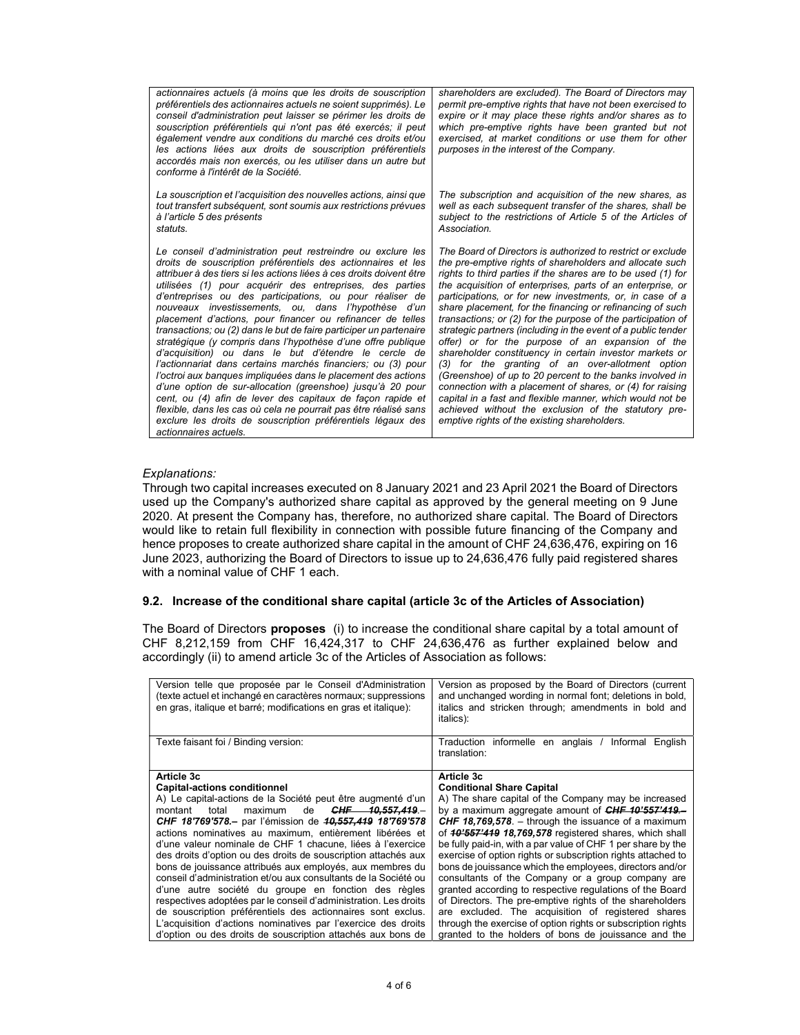| actionnaires actuels (à moins que les droits de souscription<br>préférentiels des actionnaires actuels ne soient supprimés). Le<br>conseil d'administration peut laisser se périmer les droits de<br>souscription préférentiels qui n'ont pas été exercés; il peut<br>également vendre aux conditions du marché ces droits et/ou<br>les actions liées aux droits de souscription préférentiels<br>accordés mais non exercés, ou les utiliser dans un autre but<br>conforme à l'intérêt de la Société.                                                                                                                                                                                                                                                                                                                                                                                                                                                                                                                                                                   | shareholders are excluded). The Board of Directors may<br>permit pre-emptive rights that have not been exercised to<br>expire or it may place these rights and/or shares as to<br>which pre-emptive rights have been granted but not<br>exercised, at market conditions or use them for other<br>purposes in the interest of the Company.                                                                                                                                                                                                                                                                                                                                                                                                                                                                                                                                                                                                                                        |
|-------------------------------------------------------------------------------------------------------------------------------------------------------------------------------------------------------------------------------------------------------------------------------------------------------------------------------------------------------------------------------------------------------------------------------------------------------------------------------------------------------------------------------------------------------------------------------------------------------------------------------------------------------------------------------------------------------------------------------------------------------------------------------------------------------------------------------------------------------------------------------------------------------------------------------------------------------------------------------------------------------------------------------------------------------------------------|----------------------------------------------------------------------------------------------------------------------------------------------------------------------------------------------------------------------------------------------------------------------------------------------------------------------------------------------------------------------------------------------------------------------------------------------------------------------------------------------------------------------------------------------------------------------------------------------------------------------------------------------------------------------------------------------------------------------------------------------------------------------------------------------------------------------------------------------------------------------------------------------------------------------------------------------------------------------------------|
| La souscription et l'acquisition des nouvelles actions, ainsi que<br>tout transfert subséquent, sont soumis aux restrictions prévues<br>à l'article 5 des présents<br>statuts.                                                                                                                                                                                                                                                                                                                                                                                                                                                                                                                                                                                                                                                                                                                                                                                                                                                                                          | The subscription and acquisition of the new shares, as<br>well as each subsequent transfer of the shares, shall be<br>subject to the restrictions of Article 5 of the Articles of<br>Association.                                                                                                                                                                                                                                                                                                                                                                                                                                                                                                                                                                                                                                                                                                                                                                                |
| Le conseil d'administration peut restreindre ou exclure les<br>droits de souscription préférentiels des actionnaires et les<br>attribuer à des tiers si les actions liées à ces droits doivent être<br>utilisées (1) pour acquérir des entreprises, des parties<br>d'entreprises ou des participations, ou pour réaliser de<br>nouveaux investissements, ou, dans l'hypothèse d'un<br>placement d'actions, pour financer ou refinancer de telles<br>transactions; ou (2) dans le but de faire participer un partenaire<br>stratégique (y compris dans l'hypothèse d'une offre publique<br>d'acquisition) ou dans le but d'étendre le cercle de<br>l'actionnariat dans certains marchés financiers; ou (3) pour<br>l'octroi aux banques impliquées dans le placement des actions<br>d'une option de sur-allocation (greenshoe) jusqu'à 20 pour<br>cent, ou (4) afin de lever des capitaux de façon rapide et<br>flexible, dans les cas où cela ne pourrait pas être réalisé sans<br>exclure les droits de souscription préférentiels légaux des<br>actionnaires actuels. | The Board of Directors is authorized to restrict or exclude<br>the pre-emptive rights of shareholders and allocate such<br>rights to third parties if the shares are to be used (1) for<br>the acquisition of enterprises, parts of an enterprise, or<br>participations, or for new investments, or, in case of a<br>share placement, for the financing or refinancing of such<br>transactions; or (2) for the purpose of the participation of<br>strategic partners (including in the event of a public tender<br>offer) or for the purpose of an expansion of the<br>shareholder constituency in certain investor markets or<br>(3) for the granting of an over-allotment option<br>(Greenshoe) of up to 20 percent to the banks involved in<br>connection with a placement of shares, or (4) for raising<br>capital in a fast and flexible manner, which would not be<br>achieved without the exclusion of the statutory pre-<br>emptive rights of the existing shareholders. |

#### Explanations:

Through two capital increases executed on 8 January 2021 and 23 April 2021 the Board of Directors used up the Company's authorized share capital as approved by the general meeting on 9 June 2020. At present the Company has, therefore, no authorized share capital. The Board of Directors would like to retain full flexibility in connection with possible future financing of the Company and hence proposes to create authorized share capital in the amount of CHF 24,636,476, expiring on 16 June 2023, authorizing the Board of Directors to issue up to 24,636,476 fully paid registered shares with a nominal value of CHF 1 each.

## 9.2. Increase of the conditional share capital (article 3c of the Articles of Association)

The Board of Directors **proposes** (i) to increase the conditional share capital by a total amount of CHF 8,212,159 from CHF 16,424,317 to CHF 24,636,476 as further explained below and accordingly (ii) to amend article 3c of the Articles of Association as follows:

| Version telle que proposée par le Conseil d'Administration<br>(texte actuel et inchangé en caractères normaux; suppressions<br>en gras, italique et barré; modifications en gras et italique): | Version as proposed by the Board of Directors (current<br>and unchanged wording in normal font; deletions in bold,<br>italics and stricken through; amendments in bold and<br>italics): |
|------------------------------------------------------------------------------------------------------------------------------------------------------------------------------------------------|-----------------------------------------------------------------------------------------------------------------------------------------------------------------------------------------|
| Texte faisant foi / Binding version:                                                                                                                                                           | Traduction informelle en anglais / Informal English<br>translation:                                                                                                                     |
| Article 3c                                                                                                                                                                                     | Article 3c                                                                                                                                                                              |
| <b>Capital-actions conditionnel</b>                                                                                                                                                            | <b>Conditional Share Capital</b>                                                                                                                                                        |
| A) Le capital-actions de la Société peut être augmenté d'un                                                                                                                                    | A) The share capital of the Company may be increased                                                                                                                                    |
| CHF 10,557,419.<br>maximum<br>montant total<br>de                                                                                                                                              | by a maximum aggregate amount of CHF 10'557'419-                                                                                                                                        |
| CHF 18'769'578.- par l'émission de <del>10.557,419</del> 18'769'578                                                                                                                            | <b>CHF 18,769,578.</b> – through the issuance of a maximum                                                                                                                              |
| actions nominatives au maximum, entièrement libérées et                                                                                                                                        | of 40'557'419 18,769,578 registered shares, which shall                                                                                                                                 |
| d'une valeur nominale de CHF 1 chacune. liées à l'exercice                                                                                                                                     | be fully paid-in, with a par value of CHF 1 per share by the                                                                                                                            |
| des droits d'option ou des droits de souscription attachés aux                                                                                                                                 | exercise of option rights or subscription rights attached to                                                                                                                            |
| bons de jouissance attribués aux employés, aux membres du                                                                                                                                      | bons de jouissance which the employees, directors and/or                                                                                                                                |
| conseil d'administration et/ou aux consultants de la Société ou                                                                                                                                | consultants of the Company or a group company are                                                                                                                                       |
| d'une autre société du groupe en fonction des règles                                                                                                                                           | granted according to respective regulations of the Board                                                                                                                                |
| respectives adoptées par le conseil d'administration. Les droits                                                                                                                               | of Directors. The pre-emptive rights of the shareholders                                                                                                                                |
| de souscription préférentiels des actionnaires sont exclus.                                                                                                                                    | are excluded. The acquisition of registered shares                                                                                                                                      |
| L'acquisition d'actions nominatives par l'exercice des droits                                                                                                                                  | through the exercise of option rights or subscription rights                                                                                                                            |
| d'option ou des droits de souscription attachés aux bons de                                                                                                                                    | granted to the holders of bons de jouissance and the                                                                                                                                    |
|                                                                                                                                                                                                |                                                                                                                                                                                         |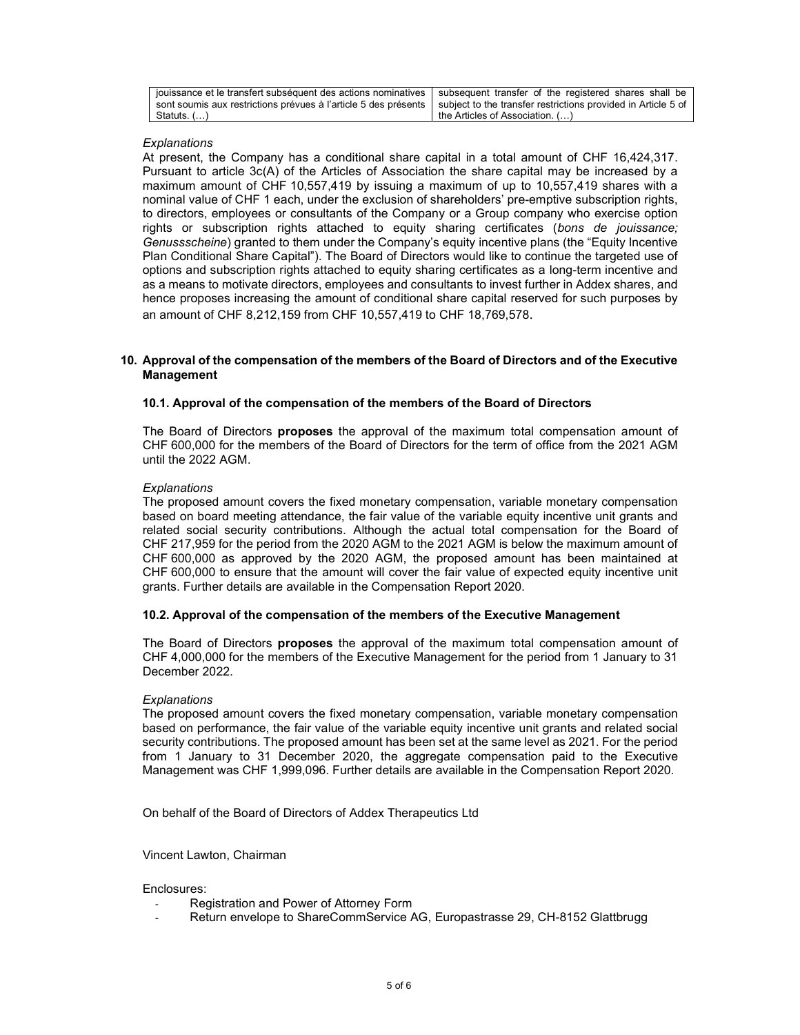| jouissance et le transfert subséquent des actions nominatives   subsequent transfer of the registered shares shall be |                                                               |
|-----------------------------------------------------------------------------------------------------------------------|---------------------------------------------------------------|
| sont soumis aux restrictions prévues à l'article 5 des présents                                                       | subiect to the transfer restrictions provided in Article 5 of |
| Statuts. $($ $)$                                                                                                      | the Articles of Association. ()                               |

## **Explanations**

At present, the Company has a conditional share capital in a total amount of CHF 16,424,317. Pursuant to article 3c(A) of the Articles of Association the share capital may be increased by a maximum amount of CHF 10,557,419 by issuing a maximum of up to 10,557,419 shares with a nominal value of CHF 1 each, under the exclusion of shareholders' pre-emptive subscription rights, to directors, employees or consultants of the Company or a Group company who exercise option rights or subscription rights attached to equity sharing certificates (bons de jouissance; Genussscheine) granted to them under the Company's equity incentive plans (the "Equity Incentive Plan Conditional Share Capital"). The Board of Directors would like to continue the targeted use of options and subscription rights attached to equity sharing certificates as a long-term incentive and as a means to motivate directors, employees and consultants to invest further in Addex shares, and hence proposes increasing the amount of conditional share capital reserved for such purposes by an amount of CHF 8,212,159 from CHF 10,557,419 to CHF 18,769,578.

## 10. Approval of the compensation of the members of the Board of Directors and of the Executive Management

## 10.1. Approval of the compensation of the members of the Board of Directors

The Board of Directors **proposes** the approval of the maximum total compensation amount of CHF 600,000 for the members of the Board of Directors for the term of office from the 2021 AGM until the 2022 AGM.

## **Explanations**

The proposed amount covers the fixed monetary compensation, variable monetary compensation based on board meeting attendance, the fair value of the variable equity incentive unit grants and related social security contributions. Although the actual total compensation for the Board of CHF 217,959 for the period from the 2020 AGM to the 2021 AGM is below the maximum amount of CHF 600,000 as approved by the 2020 AGM, the proposed amount has been maintained at CHF 600,000 to ensure that the amount will cover the fair value of expected equity incentive unit grants. Further details are available in the Compensation Report 2020.

## 10.2. Approval of the compensation of the members of the Executive Management

The Board of Directors **proposes** the approval of the maximum total compensation amount of CHF 4,000,000 for the members of the Executive Management for the period from 1 January to 31 December 2022.

#### **Explanations**

The proposed amount covers the fixed monetary compensation, variable monetary compensation based on performance, the fair value of the variable equity incentive unit grants and related social security contributions. The proposed amount has been set at the same level as 2021. For the period from 1 January to 31 December 2020, the aggregate compensation paid to the Executive Management was CHF 1,999,096. Further details are available in the Compensation Report 2020.

On behalf of the Board of Directors of Addex Therapeutics Ltd

Vincent Lawton, Chairman

#### Enclosures:

- Registration and Power of Attorney Form
- Return envelope to ShareCommService AG, Europastrasse 29, CH-8152 Glattbrugg